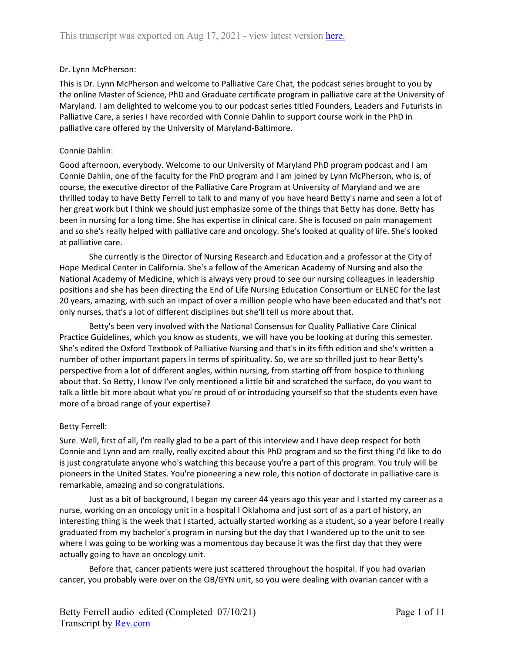### Dr. Lynn McPherson:

This is Dr. Lynn McPherson and welcome to Palliative Care Chat, the podcast series brought to you by the online Master of Science, PhD and Graduate certificate program in palliative care at the University of Maryland. I am delighted to welcome you to our podcast series titled Founders, Leaders and Futurists in Palliative Care, a series I have recorded with Connie Dahlin to support course work in the PhD in palliative care offered by the University of Maryland-Baltimore.

### Connie Dahlin:

Good afternoon, everybody. Welcome to our University of Maryland PhD program podcast and I am Connie Dahlin, one of the faculty for the PhD program and I am joined by Lynn McPherson, who is, of course, the executive director of the Palliative Care Program at University of Maryland and we are thrilled today to have Betty Ferrell to talk to and many of you have heard Betty's name and seen a lot of her great work but I think we should just emphasize some of the things that Betty has done. Betty has been in nursing for a long time. She has expertise in clinical care. She is focused on pain management and so she's really helped with palliative care and oncology. She's looked at quality of life. She's looked at palliative care.

She currently is the Director of Nursing Research and Education and a professor at the City of Hope Medical Center in California. She's a fellow of the American Academy of Nursing and also the National Academy of Medicine, which is always very proud to see our nursing colleagues in leadership positions and she has been directing the End of Life Nursing Education Consortium or ELNEC for the last 20 years, amazing, with such an impact of over a million people who have been educated and that's not only nurses, that's a lot of different disciplines but she'll tell us more about that.

Betty's been very involved with the National Consensus for Quality Palliative Care Clinical Practice Guidelines, which you know as students, we will have you be looking at during this semester. She's edited the Oxford Textbook of Palliative Nursing and that's in its fifth edition and she's written a number of other important papers in terms of spirituality. So, we are so thrilled just to hear Betty's perspective from a lot of different angles, within nursing, from starting off from hospice to thinking about that. So Betty, I know I've only mentioned a little bit and scratched the surface, do you want to talk a little bit more about what you're proud of or introducing yourself so that the students even have more of a broad range of your expertise?

# Betty Ferrell:

Sure. Well, first of all, I'm really glad to be a part of this interview and I have deep respect for both Connie and Lynn and am really, really excited about this PhD program and so the first thing I'd like to do is just congratulate anyone who's watching this because you're a part of this program. You truly will be pioneers in the United States. You're pioneering a new role, this notion of doctorate in palliative care is remarkable, amazing and so congratulations.

Just as a bit of background, I began my career 44 years ago this year and I started my career as a nurse, working on an oncology unit in a hospital I Oklahoma and just sort of as a part of history, an interesting thing is the week that I started, actually started working as a student, so a year before I really graduated from my bachelor's program in nursing but the day that I wandered up to the unit to see where I was going to be working was a momentous day because it was the first day that they were actually going to have an oncology unit.

Before that, cancer patients were just scattered throughout the hospital. If you had ovarian cancer, you probably were over on the OB/GYN unit, so you were dealing with ovarian cancer with a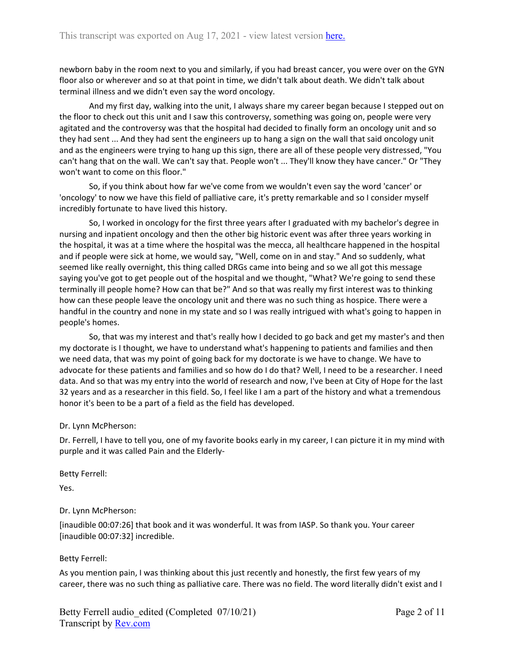newborn baby in the room next to you and similarly, if you had breast cancer, you were over on the GYN floor also or wherever and so at that point in time, we didn't talk about death. We didn't talk about terminal illness and we didn't even say the word oncology.

And my first day, walking into the unit, I always share my career began because I stepped out on the floor to check out this unit and I saw this controversy, something was going on, people were very agitated and the controversy was that the hospital had decided to finally form an oncology unit and so they had sent ... And they had sent the engineers up to hang a sign on the wall that said oncology unit and as the engineers were trying to hang up this sign, there are all of these people very distressed, "You can't hang that on the wall. We can't say that. People won't ... They'll know they have cancer." Or "They won't want to come on this floor."

So, if you think about how far we've come from we wouldn't even say the word 'cancer' or 'oncology' to now we have this field of palliative care, it's pretty remarkable and so I consider myself incredibly fortunate to have lived this history.

So, I worked in oncology for the first three years after I graduated with my bachelor's degree in nursing and inpatient oncology and then the other big historic event was after three years working in the hospital, it was at a time where the hospital was the mecca, all healthcare happened in the hospital and if people were sick at home, we would say, "Well, come on in and stay." And so suddenly, what seemed like really overnight, this thing called DRGs came into being and so we all got this message saying you've got to get people out of the hospital and we thought, "What? We're going to send these terminally ill people home? How can that be?" And so that was really my first interest was to thinking how can these people leave the oncology unit and there was no such thing as hospice. There were a handful in the country and none in my state and so I was really intrigued with what's going to happen in people's homes.

So, that was my interest and that's really how I decided to go back and get my master's and then my doctorate is I thought, we have to understand what's happening to patients and families and then we need data, that was my point of going back for my doctorate is we have to change. We have to advocate for these patients and families and so how do I do that? Well, I need to be a researcher. I need data. And so that was my entry into the world of research and now, I've been at City of Hope for the last 32 years and as a researcher in this field. So, I feel like I am a part of the history and what a tremendous honor it's been to be a part of a field as the field has developed.

### Dr. Lynn McPherson:

Dr. Ferrell, I have to tell you, one of my favorite books early in my career, I can picture it in my mind with purple and it was called Pain and the Elderly-

Betty Ferrell:

Yes.

# Dr. Lynn McPherson:

[inaudible 00:07:26] that book and it was wonderful. It was from IASP. So thank you. Your career [inaudible 00:07:32] incredible.

# Betty Ferrell:

As you mention pain, I was thinking about this just recently and honestly, the first few years of my career, there was no such thing as palliative care. There was no field. The word literally didn't exist and I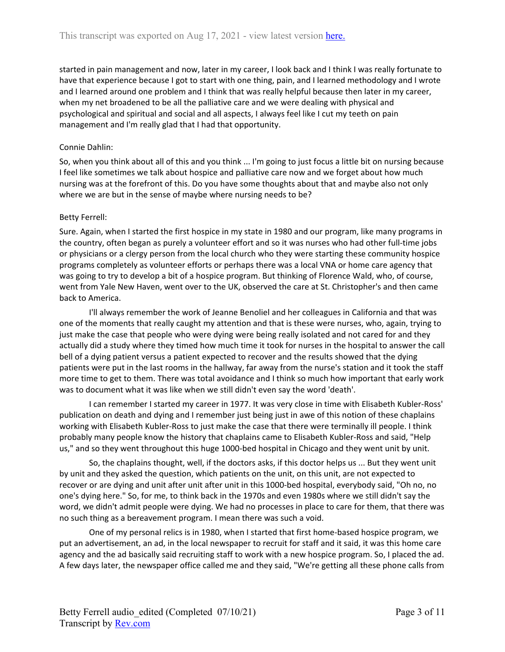started in pain management and now, later in my career, I look back and I think I was really fortunate to have that experience because I got to start with one thing, pain, and I learned methodology and I wrote and I learned around one problem and I think that was really helpful because then later in my career, when my net broadened to be all the palliative care and we were dealing with physical and psychological and spiritual and social and all aspects, I always feel like I cut my teeth on pain management and I'm really glad that I had that opportunity.

# Connie Dahlin:

So, when you think about all of this and you think ... I'm going to just focus a little bit on nursing because I feel like sometimes we talk about hospice and palliative care now and we forget about how much nursing was at the forefront of this. Do you have some thoughts about that and maybe also not only where we are but in the sense of maybe where nursing needs to be?

## Betty Ferrell:

Sure. Again, when I started the first hospice in my state in 1980 and our program, like many programs in the country, often began as purely a volunteer effort and so it was nurses who had other full-time jobs or physicians or a clergy person from the local church who they were starting these community hospice programs completely as volunteer efforts or perhaps there was a local VNA or home care agency that was going to try to develop a bit of a hospice program. But thinking of Florence Wald, who, of course, went from Yale New Haven, went over to the UK, observed the care at St. Christopher's and then came back to America.

I'll always remember the work of Jeanne Benoliel and her colleagues in California and that was one of the moments that really caught my attention and that is these were nurses, who, again, trying to just make the case that people who were dying were being really isolated and not cared for and they actually did a study where they timed how much time it took for nurses in the hospital to answer the call bell of a dying patient versus a patient expected to recover and the results showed that the dying patients were put in the last rooms in the hallway, far away from the nurse's station and it took the staff more time to get to them. There was total avoidance and I think so much how important that early work was to document what it was like when we still didn't even say the word 'death'.

I can remember I started my career in 1977. It was very close in time with Elisabeth Kubler-Ross' publication on death and dying and I remember just being just in awe of this notion of these chaplains working with Elisabeth Kubler-Ross to just make the case that there were terminally ill people. I think probably many people know the history that chaplains came to Elisabeth Kubler-Ross and said, "Help us," and so they went throughout this huge 1000-bed hospital in Chicago and they went unit by unit.

So, the chaplains thought, well, if the doctors asks, if this doctor helps us ... But they went unit by unit and they asked the question, which patients on the unit, on this unit, are not expected to recover or are dying and unit after unit after unit in this 1000-bed hospital, everybody said, "Oh no, no one's dying here." So, for me, to think back in the 1970s and even 1980s where we still didn't say the word, we didn't admit people were dying. We had no processes in place to care for them, that there was no such thing as a bereavement program. I mean there was such a void.

One of my personal relics is in 1980, when I started that first home-based hospice program, we put an advertisement, an ad, in the local newspaper to recruit for staff and it said, it was this home care agency and the ad basically said recruiting staff to work with a new hospice program. So, I placed the ad. A few days later, the newspaper office called me and they said, "We're getting all these phone calls from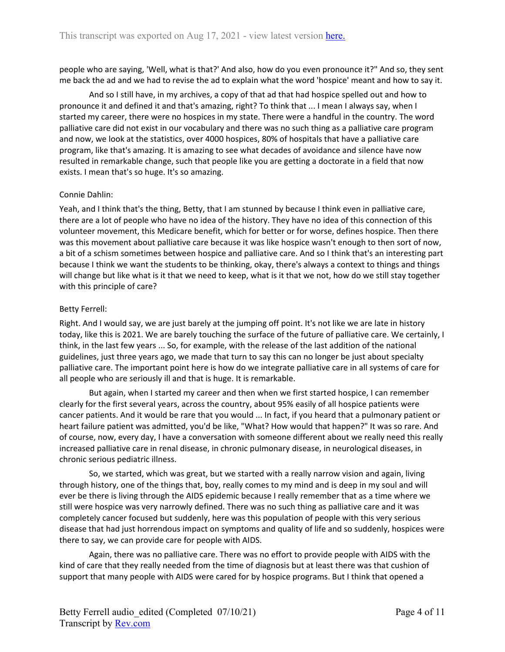people who are saying, 'Well, what is that?' And also, how do you even pronounce it?" And so, they sent me back the ad and we had to revise the ad to explain what the word 'hospice' meant and how to say it.

And so I still have, in my archives, a copy of that ad that had hospice spelled out and how to pronounce it and defined it and that's amazing, right? To think that ... I mean I always say, when I started my career, there were no hospices in my state. There were a handful in the country. The word palliative care did not exist in our vocabulary and there was no such thing as a palliative care program and now, we look at the statistics, over 4000 hospices, 80% of hospitals that have a palliative care program, like that's amazing. It is amazing to see what decades of avoidance and silence have now resulted in remarkable change, such that people like you are getting a doctorate in a field that now exists. I mean that's so huge. It's so amazing.

## Connie Dahlin:

Yeah, and I think that's the thing, Betty, that I am stunned by because I think even in palliative care, there are a lot of people who have no idea of the history. They have no idea of this connection of this volunteer movement, this Medicare benefit, which for better or for worse, defines hospice. Then there was this movement about palliative care because it was like hospice wasn't enough to then sort of now, a bit of a schism sometimes between hospice and palliative care. And so I think that's an interesting part because I think we want the students to be thinking, okay, there's always a context to things and things will change but like what is it that we need to keep, what is it that we not, how do we still stay together with this principle of care?

## Betty Ferrell:

Right. And I would say, we are just barely at the jumping off point. It's not like we are late in history today, like this is 2021. We are barely touching the surface of the future of palliative care. We certainly, I think, in the last few years ... So, for example, with the release of the last addition of the national guidelines, just three years ago, we made that turn to say this can no longer be just about specialty palliative care. The important point here is how do we integrate palliative care in all systems of care for all people who are seriously ill and that is huge. It is remarkable.

But again, when I started my career and then when we first started hospice, I can remember clearly for the first several years, across the country, about 95% easily of all hospice patients were cancer patients. And it would be rare that you would ... In fact, if you heard that a pulmonary patient or heart failure patient was admitted, you'd be like, "What? How would that happen?" It was so rare. And of course, now, every day, I have a conversation with someone different about we really need this really increased palliative care in renal disease, in chronic pulmonary disease, in neurological diseases, in chronic serious pediatric illness.

So, we started, which was great, but we started with a really narrow vision and again, living through history, one of the things that, boy, really comes to my mind and is deep in my soul and will ever be there is living through the AIDS epidemic because I really remember that as a time where we still were hospice was very narrowly defined. There was no such thing as palliative care and it was completely cancer focused but suddenly, here was this population of people with this very serious disease that had just horrendous impact on symptoms and quality of life and so suddenly, hospices were there to say, we can provide care for people with AIDS.

Again, there was no palliative care. There was no effort to provide people with AIDS with the kind of care that they really needed from the time of diagnosis but at least there was that cushion of support that many people with AIDS were cared for by hospice programs. But I think that opened a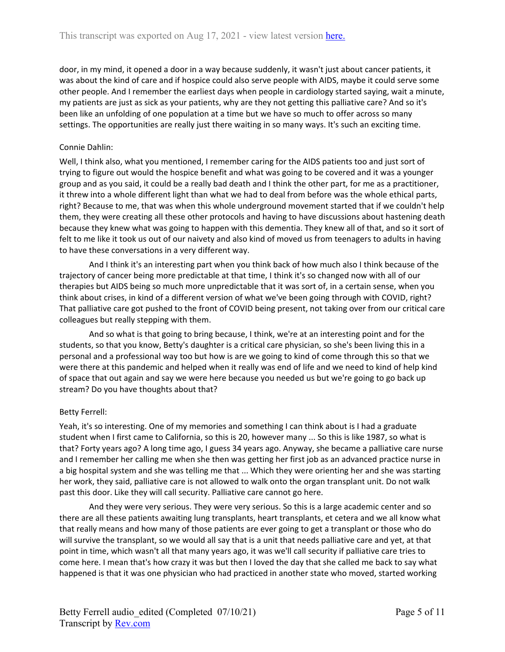door, in my mind, it opened a door in a way because suddenly, it wasn't just about cancer patients, it was about the kind of care and if hospice could also serve people with AIDS, maybe it could serve some other people. And I remember the earliest days when people in cardiology started saying, wait a minute, my patients are just as sick as your patients, why are they not getting this palliative care? And so it's been like an unfolding of one population at a time but we have so much to offer across so many settings. The opportunities are really just there waiting in so many ways. It's such an exciting time.

# Connie Dahlin:

Well, I think also, what you mentioned, I remember caring for the AIDS patients too and just sort of trying to figure out would the hospice benefit and what was going to be covered and it was a younger group and as you said, it could be a really bad death and I think the other part, for me as a practitioner, it threw into a whole different light than what we had to deal from before was the whole ethical parts, right? Because to me, that was when this whole underground movement started that if we couldn't help them, they were creating all these other protocols and having to have discussions about hastening death because they knew what was going to happen with this dementia. They knew all of that, and so it sort of felt to me like it took us out of our naivety and also kind of moved us from teenagers to adults in having to have these conversations in a very different way.

And I think it's an interesting part when you think back of how much also I think because of the trajectory of cancer being more predictable at that time, I think it's so changed now with all of our therapies but AIDS being so much more unpredictable that it was sort of, in a certain sense, when you think about crises, in kind of a different version of what we've been going through with COVID, right? That palliative care got pushed to the front of COVID being present, not taking over from our critical care colleagues but really stepping with them.

And so what is that going to bring because, I think, we're at an interesting point and for the students, so that you know, Betty's daughter is a critical care physician, so she's been living this in a personal and a professional way too but how is are we going to kind of come through this so that we were there at this pandemic and helped when it really was end of life and we need to kind of help kind of space that out again and say we were here because you needed us but we're going to go back up stream? Do you have thoughts about that?

# Betty Ferrell:

Yeah, it's so interesting. One of my memories and something I can think about is I had a graduate student when I first came to California, so this is 20, however many ... So this is like 1987, so what is that? Forty years ago? A long time ago, I guess 34 years ago. Anyway, she became a palliative care nurse and I remember her calling me when she then was getting her first job as an advanced practice nurse in a big hospital system and she was telling me that ... Which they were orienting her and she was starting her work, they said, palliative care is not allowed to walk onto the organ transplant unit. Do not walk past this door. Like they will call security. Palliative care cannot go here.

And they were very serious. They were very serious. So this is a large academic center and so there are all these patients awaiting lung transplants, heart transplants, et cetera and we all know what that really means and how many of those patients are ever going to get a transplant or those who do will survive the transplant, so we would all say that is a unit that needs palliative care and yet, at that point in time, which wasn't all that many years ago, it was we'll call security if palliative care tries to come here. I mean that's how crazy it was but then I loved the day that she called me back to say what happened is that it was one physician who had practiced in another state who moved, started working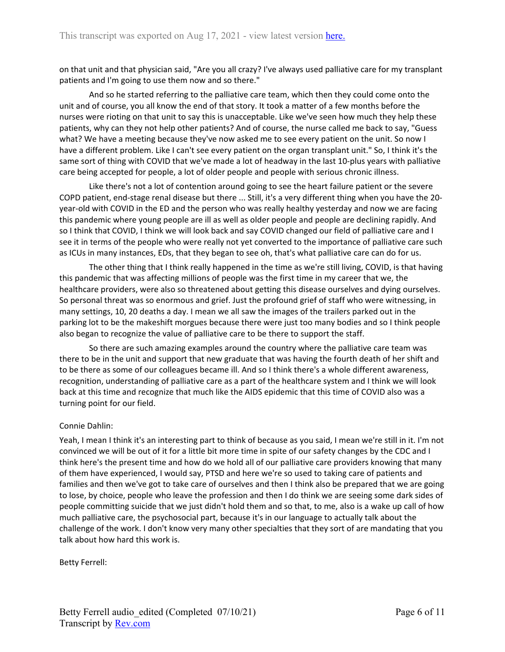on that unit and that physician said, "Are you all crazy? I've always used palliative care for my transplant patients and I'm going to use them now and so there."

And so he started referring to the palliative care team, which then they could come onto the unit and of course, you all know the end of that story. It took a matter of a few months before the nurses were rioting on that unit to say this is unacceptable. Like we've seen how much they help these patients, why can they not help other patients? And of course, the nurse called me back to say, "Guess what? We have a meeting because they've now asked me to see every patient on the unit. So now I have a different problem. Like I can't see every patient on the organ transplant unit." So, I think it's the same sort of thing with COVID that we've made a lot of headway in the last 10-plus years with palliative care being accepted for people, a lot of older people and people with serious chronic illness.

Like there's not a lot of contention around going to see the heart failure patient or the severe COPD patient, end-stage renal disease but there ... Still, it's a very different thing when you have the 20 year-old with COVID in the ED and the person who was really healthy yesterday and now we are facing this pandemic where young people are ill as well as older people and people are declining rapidly. And so I think that COVID, I think we will look back and say COVID changed our field of palliative care and I see it in terms of the people who were really not yet converted to the importance of palliative care such as ICUs in many instances, EDs, that they began to see oh, that's what palliative care can do for us.

The other thing that I think really happened in the time as we're still living, COVID, is that having this pandemic that was affecting millions of people was the first time in my career that we, the healthcare providers, were also so threatened about getting this disease ourselves and dying ourselves. So personal threat was so enormous and grief. Just the profound grief of staff who were witnessing, in many settings, 10, 20 deaths a day. I mean we all saw the images of the trailers parked out in the parking lot to be the makeshift morgues because there were just too many bodies and so I think people also began to recognize the value of palliative care to be there to support the staff.

So there are such amazing examples around the country where the palliative care team was there to be in the unit and support that new graduate that was having the fourth death of her shift and to be there as some of our colleagues became ill. And so I think there's a whole different awareness, recognition, understanding of palliative care as a part of the healthcare system and I think we will look back at this time and recognize that much like the AIDS epidemic that this time of COVID also was a turning point for our field.

### Connie Dahlin:

Yeah, I mean I think it's an interesting part to think of because as you said, I mean we're still in it. I'm not convinced we will be out of it for a little bit more time in spite of our safety changes by the CDC and I think here's the present time and how do we hold all of our palliative care providers knowing that many of them have experienced, I would say, PTSD and here we're so used to taking care of patients and families and then we've got to take care of ourselves and then I think also be prepared that we are going to lose, by choice, people who leave the profession and then I do think we are seeing some dark sides of people committing suicide that we just didn't hold them and so that, to me, also is a wake up call of how much palliative care, the psychosocial part, because it's in our language to actually talk about the challenge of the work. I don't know very many other specialties that they sort of are mandating that you talk about how hard this work is.

Betty Ferrell: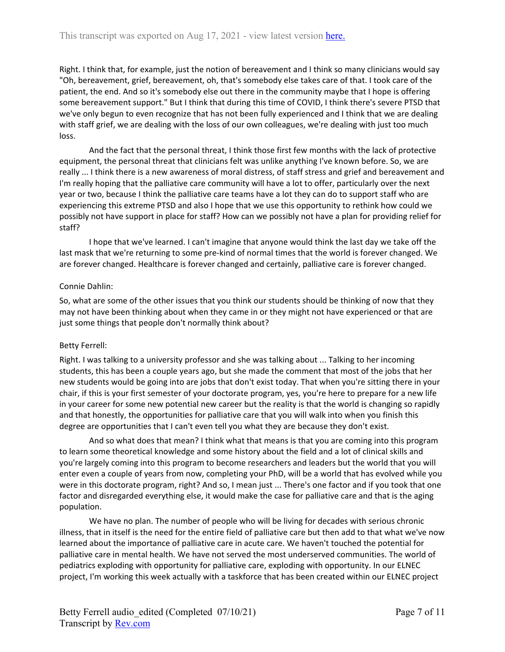Right. I think that, for example, just the notion of bereavement and I think so many clinicians would say "Oh, bereavement, grief, bereavement, oh, that's somebody else takes care of that. I took care of the patient, the end. And so it's somebody else out there in the community maybe that I hope is offering some bereavement support." But I think that during this time of COVID, I think there's severe PTSD that we've only begun to even recognize that has not been fully experienced and I think that we are dealing with staff grief, we are dealing with the loss of our own colleagues, we're dealing with just too much loss.

And the fact that the personal threat, I think those first few months with the lack of protective equipment, the personal threat that clinicians felt was unlike anything I've known before. So, we are really ... I think there is a new awareness of moral distress, of staff stress and grief and bereavement and I'm really hoping that the palliative care community will have a lot to offer, particularly over the next year or two, because I think the palliative care teams have a lot they can do to support staff who are experiencing this extreme PTSD and also I hope that we use this opportunity to rethink how could we possibly not have support in place for staff? How can we possibly not have a plan for providing relief for staff?

I hope that we've learned. I can't imagine that anyone would think the last day we take off the last mask that we're returning to some pre-kind of normal times that the world is forever changed. We are forever changed. Healthcare is forever changed and certainly, palliative care is forever changed.

### Connie Dahlin:

So, what are some of the other issues that you think our students should be thinking of now that they may not have been thinking about when they came in or they might not have experienced or that are just some things that people don't normally think about?

### Betty Ferrell:

Right. I was talking to a university professor and she was talking about ... Talking to her incoming students, this has been a couple years ago, but she made the comment that most of the jobs that her new students would be going into are jobs that don't exist today. That when you're sitting there in your chair, if this is your first semester of your doctorate program, yes, you're here to prepare for a new life in your career for some new potential new career but the reality is that the world is changing so rapidly and that honestly, the opportunities for palliative care that you will walk into when you finish this degree are opportunities that I can't even tell you what they are because they don't exist.

And so what does that mean? I think what that means is that you are coming into this program to learn some theoretical knowledge and some history about the field and a lot of clinical skills and you're largely coming into this program to become researchers and leaders but the world that you will enter even a couple of years from now, completing your PhD, will be a world that has evolved while you were in this doctorate program, right? And so, I mean just ... There's one factor and if you took that one factor and disregarded everything else, it would make the case for palliative care and that is the aging population.

We have no plan. The number of people who will be living for decades with serious chronic illness, that in itself is the need for the entire field of palliative care but then add to that what we've now learned about the importance of palliative care in acute care. We haven't touched the potential for palliative care in mental health. We have not served the most underserved communities. The world of pediatrics exploding with opportunity for palliative care, exploding with opportunity. In our ELNEC project, I'm working this week actually with a taskforce that has been created within our ELNEC project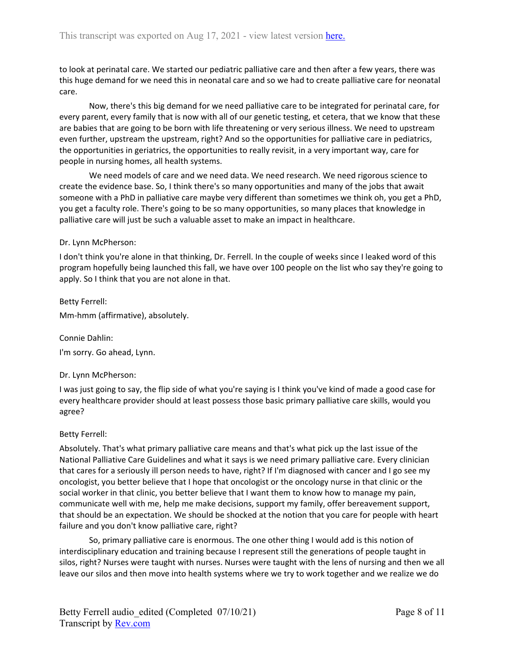to look at perinatal care. We started our pediatric palliative care and then after a few years, there was this huge demand for we need this in neonatal care and so we had to create palliative care for neonatal care.

Now, there's this big demand for we need palliative care to be integrated for perinatal care, for every parent, every family that is now with all of our genetic testing, et cetera, that we know that these are babies that are going to be born with life threatening or very serious illness. We need to upstream even further, upstream the upstream, right? And so the opportunities for palliative care in pediatrics, the opportunities in geriatrics, the opportunities to really revisit, in a very important way, care for people in nursing homes, all health systems.

We need models of care and we need data. We need research. We need rigorous science to create the evidence base. So, I think there's so many opportunities and many of the jobs that await someone with a PhD in palliative care maybe very different than sometimes we think oh, you get a PhD, you get a faculty role. There's going to be so many opportunities, so many places that knowledge in palliative care will just be such a valuable asset to make an impact in healthcare.

#### Dr. Lynn McPherson:

I don't think you're alone in that thinking, Dr. Ferrell. In the couple of weeks since I leaked word of this program hopefully being launched this fall, we have over 100 people on the list who say they're going to apply. So I think that you are not alone in that.

Betty Ferrell: Mm-hmm (affirmative), absolutely.

Connie Dahlin:

I'm sorry. Go ahead, Lynn.

#### Dr. Lynn McPherson:

I was just going to say, the flip side of what you're saying is I think you've kind of made a good case for every healthcare provider should at least possess those basic primary palliative care skills, would you agree?

#### Betty Ferrell:

Absolutely. That's what primary palliative care means and that's what pick up the last issue of the National Palliative Care Guidelines and what it says is we need primary palliative care. Every clinician that cares for a seriously ill person needs to have, right? If I'm diagnosed with cancer and I go see my oncologist, you better believe that I hope that oncologist or the oncology nurse in that clinic or the social worker in that clinic, you better believe that I want them to know how to manage my pain, communicate well with me, help me make decisions, support my family, offer bereavement support, that should be an expectation. We should be shocked at the notion that you care for people with heart failure and you don't know palliative care, right?

So, primary palliative care is enormous. The one other thing I would add is this notion of interdisciplinary education and training because I represent still the generations of people taught in silos, right? Nurses were taught with nurses. Nurses were taught with the lens of nursing and then we all leave our silos and then move into health systems where we try to work together and we realize we do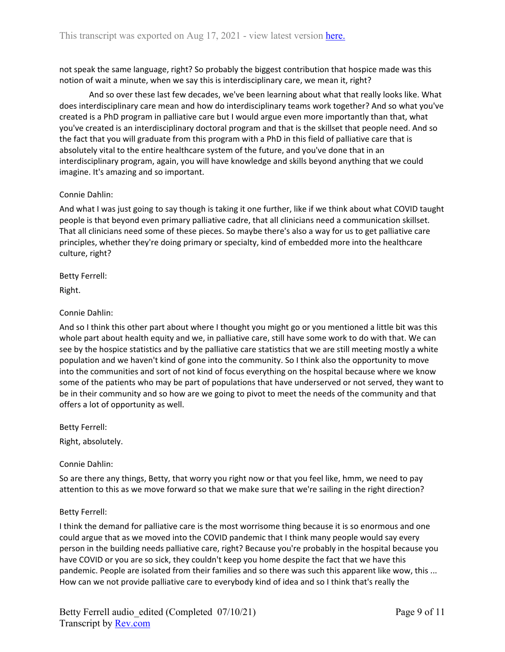not speak the same language, right? So probably the biggest contribution that hospice made was this notion of wait a minute, when we say this is interdisciplinary care, we mean it, right?

And so over these last few decades, we've been learning about what that really looks like. What does interdisciplinary care mean and how do interdisciplinary teams work together? And so what you've created is a PhD program in palliative care but I would argue even more importantly than that, what you've created is an interdisciplinary doctoral program and that is the skillset that people need. And so the fact that you will graduate from this program with a PhD in this field of palliative care that is absolutely vital to the entire healthcare system of the future, and you've done that in an interdisciplinary program, again, you will have knowledge and skills beyond anything that we could imagine. It's amazing and so important.

# Connie Dahlin:

And what I was just going to say though is taking it one further, like if we think about what COVID taught people is that beyond even primary palliative cadre, that all clinicians need a communication skillset. That all clinicians need some of these pieces. So maybe there's also a way for us to get palliative care principles, whether they're doing primary or specialty, kind of embedded more into the healthcare culture, right?

Betty Ferrell:

Right.

# Connie Dahlin:

And so I think this other part about where I thought you might go or you mentioned a little bit was this whole part about health equity and we, in palliative care, still have some work to do with that. We can see by the hospice statistics and by the palliative care statistics that we are still meeting mostly a white population and we haven't kind of gone into the community. So I think also the opportunity to move into the communities and sort of not kind of focus everything on the hospital because where we know some of the patients who may be part of populations that have underserved or not served, they want to be in their community and so how are we going to pivot to meet the needs of the community and that offers a lot of opportunity as well.

Betty Ferrell:

Right, absolutely.

Connie Dahlin:

So are there any things, Betty, that worry you right now or that you feel like, hmm, we need to pay attention to this as we move forward so that we make sure that we're sailing in the right direction?

# Betty Ferrell:

I think the demand for palliative care is the most worrisome thing because it is so enormous and one could argue that as we moved into the COVID pandemic that I think many people would say every person in the building needs palliative care, right? Because you're probably in the hospital because you have COVID or you are so sick, they couldn't keep you home despite the fact that we have this pandemic. People are isolated from their families and so there was such this apparent like wow, this ... How can we not provide palliative care to everybody kind of idea and so I think that's really the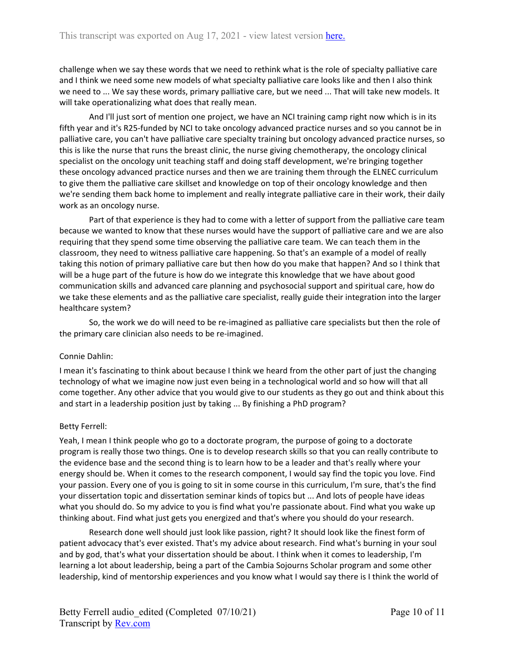challenge when we say these words that we need to rethink what is the role of specialty palliative care and I think we need some new models of what specialty palliative care looks like and then I also think we need to ... We say these words, primary palliative care, but we need ... That will take new models. It will take operationalizing what does that really mean.

And I'll just sort of mention one project, we have an NCI training camp right now which is in its fifth year and it's R25-funded by NCI to take oncology advanced practice nurses and so you cannot be in palliative care, you can't have palliative care specialty training but oncology advanced practice nurses, so this is like the nurse that runs the breast clinic, the nurse giving chemotherapy, the oncology clinical specialist on the oncology unit teaching staff and doing staff development, we're bringing together these oncology advanced practice nurses and then we are training them through the ELNEC curriculum to give them the palliative care skillset and knowledge on top of their oncology knowledge and then we're sending them back home to implement and really integrate palliative care in their work, their daily work as an oncology nurse.

Part of that experience is they had to come with a letter of support from the palliative care team because we wanted to know that these nurses would have the support of palliative care and we are also requiring that they spend some time observing the palliative care team. We can teach them in the classroom, they need to witness palliative care happening. So that's an example of a model of really taking this notion of primary palliative care but then how do you make that happen? And so I think that will be a huge part of the future is how do we integrate this knowledge that we have about good communication skills and advanced care planning and psychosocial support and spiritual care, how do we take these elements and as the palliative care specialist, really guide their integration into the larger healthcare system?

So, the work we do will need to be re-imagined as palliative care specialists but then the role of the primary care clinician also needs to be re-imagined.

### Connie Dahlin:

I mean it's fascinating to think about because I think we heard from the other part of just the changing technology of what we imagine now just even being in a technological world and so how will that all come together. Any other advice that you would give to our students as they go out and think about this and start in a leadership position just by taking ... By finishing a PhD program?

### Betty Ferrell:

Yeah, I mean I think people who go to a doctorate program, the purpose of going to a doctorate program is really those two things. One is to develop research skills so that you can really contribute to the evidence base and the second thing is to learn how to be a leader and that's really where your energy should be. When it comes to the research component, I would say find the topic you love. Find your passion. Every one of you is going to sit in some course in this curriculum, I'm sure, that's the find your dissertation topic and dissertation seminar kinds of topics but ... And lots of people have ideas what you should do. So my advice to you is find what you're passionate about. Find what you wake up thinking about. Find what just gets you energized and that's where you should do your research.

Research done well should just look like passion, right? It should look like the finest form of patient advocacy that's ever existed. That's my advice about research. Find what's burning in your soul and by god, that's what your dissertation should be about. I think when it comes to leadership, I'm learning a lot about leadership, being a part of the Cambia Sojourns Scholar program and some other leadership, kind of mentorship experiences and you know what I would say there is I think the world of